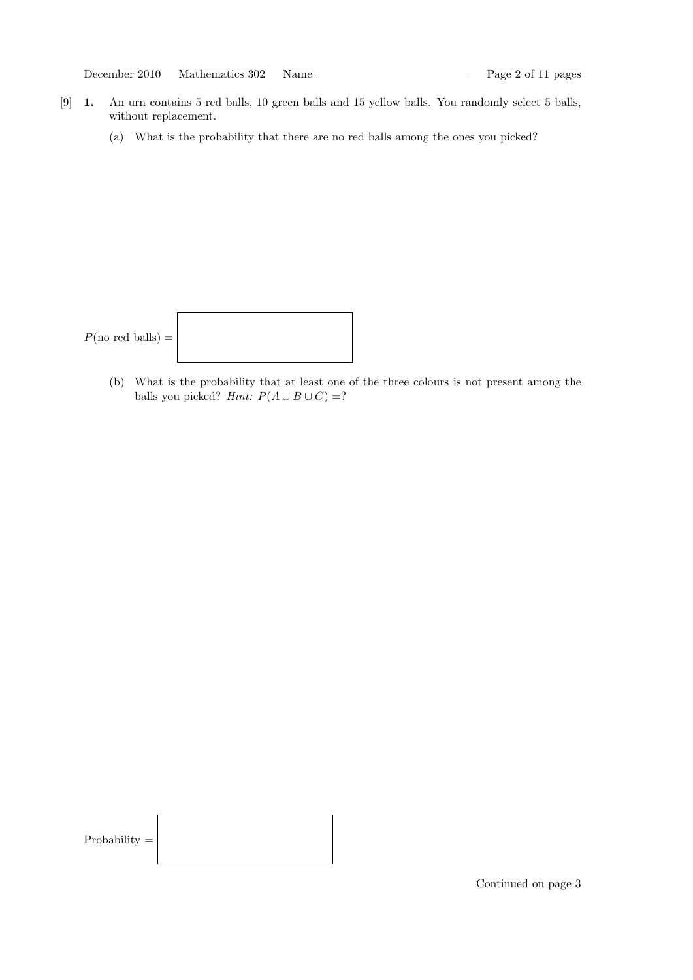| Mathematics 302 | December 2010 |  |  |  | Name |
|-----------------|---------------|--|--|--|------|
|-----------------|---------------|--|--|--|------|

- [9] 1. An urn contains 5 red balls, 10 green balls and 15 yellow balls. You randomly select 5 balls, without replacement.
	- (a) What is the probability that there are no red balls among the ones you picked?

| $P(\text{no red balls}) =  $ |  |
|------------------------------|--|
|------------------------------|--|

(b) What is the probability that at least one of the three colours is not present among the balls you picked? Hint:  $P(A \cup B \cup C) =?$ 

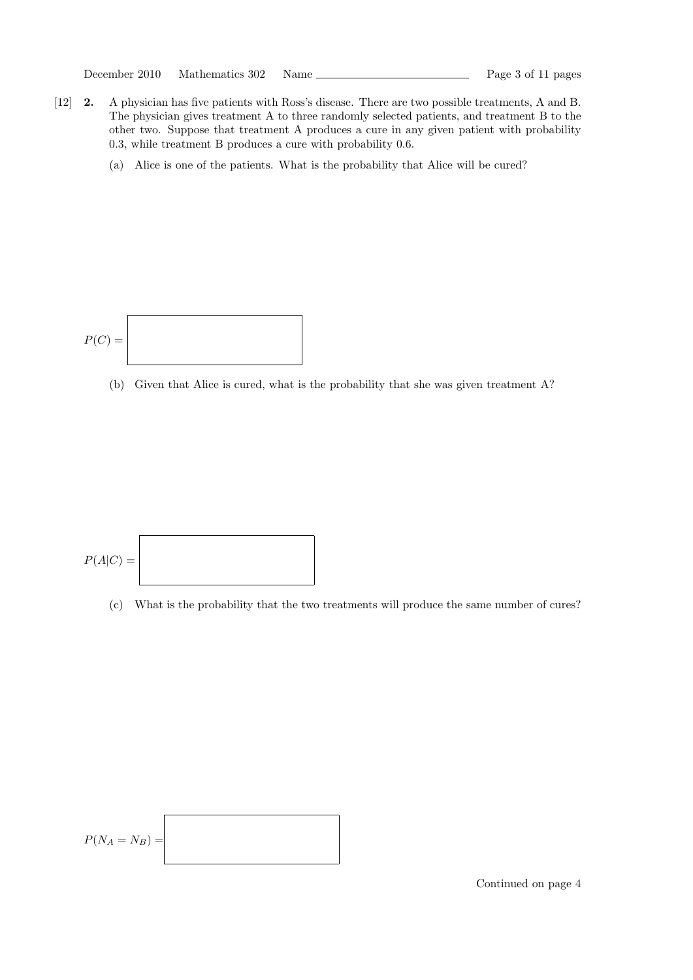- [12] 2. A physician has five patients with Ross's disease. There are two possible treatments, A and B. The physician gives treatment A to three randomly selected patients, and treatment B to the other two. Suppose that treatment A produces a cure in any given patient with probability 0.3, while treatment B produces a cure with probability 0.6.
	- (a) Alice is one of the patients. What is the probability that Alice will be cured?



(b) Given that Alice is cured, what is the probability that she was given treatment A?



(c) What is the probability that the two treatments will produce the same number of cures?

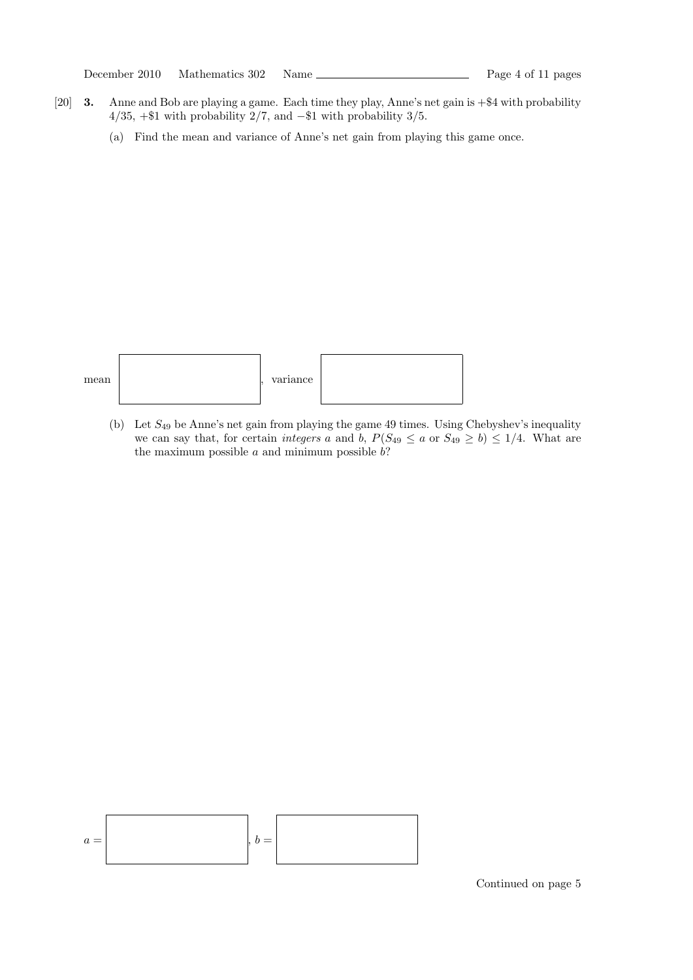- [20] 3. Anne and Bob are playing a game. Each time they play, Anne's net gain is +\$4 with probability  $4/35$ , +\$1 with probability 2/7, and -\$1 with probability 3/5.
	- (a) Find the mean and variance of Anne's net gain from playing this game once.



(b) Let  $S_{49}$  be Anne's net gain from playing the game 49 times. Using Chebyshev's inequality we can say that, for certain *integers* a and b,  $P(S_{49} \le a \text{ or } S_{49} \ge b) \le 1/4$ . What are the maximum possible  $a$  and minimum possible  $b$ ?

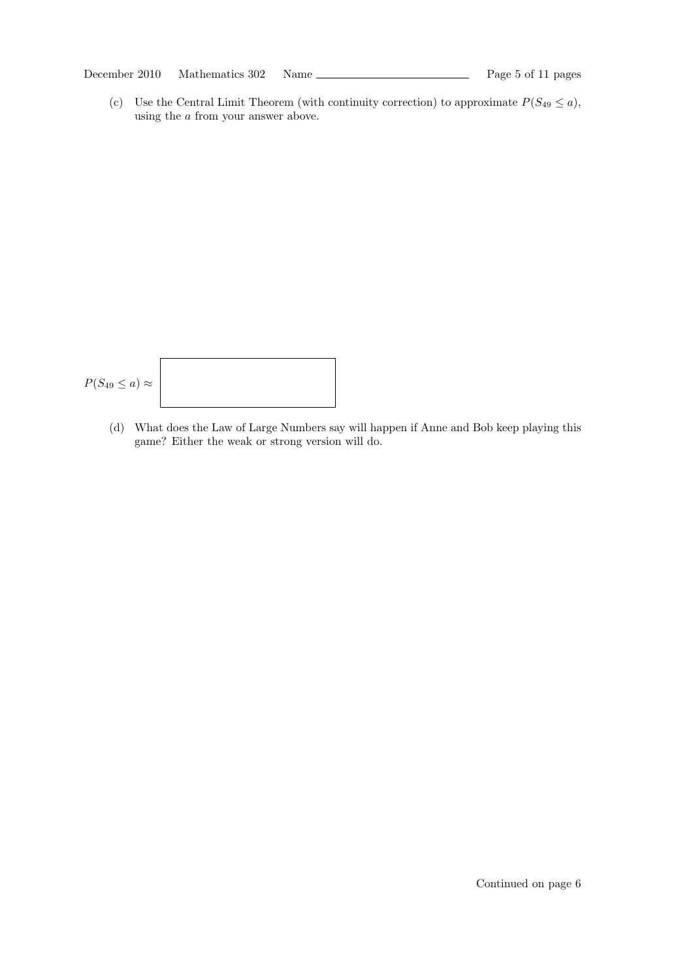December 2010 Mathematics 302 Name Page 5 of 11 pages

(c) Use the Central Limit Theorem (with continuity correction) to approximate  $P(S_{49} \le a)$ , using the a from your answer above.

$$
P(S_{49} \le a) \approx
$$

(d) What does the Law of Large Numbers say will happen if Anne and Bob keep playing this game? Either the weak or strong version will do.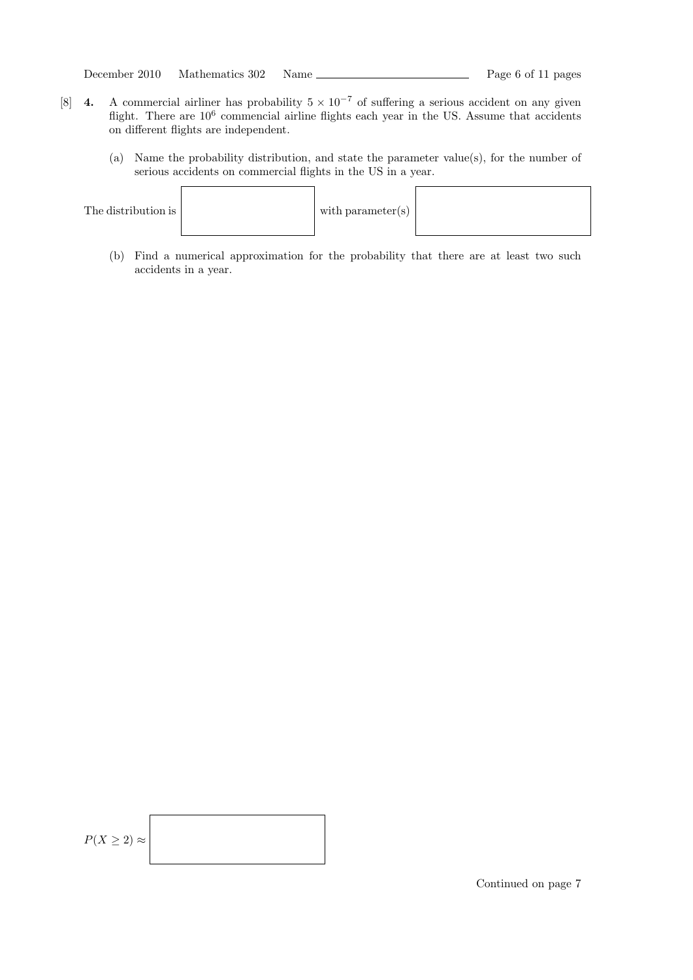| Name | Mathematics 302 | December 2010 |
|------|-----------------|---------------|
|------|-----------------|---------------|

- [8] 4. A commercial airliner has probability  $5 \times 10^{-7}$  of suffering a serious accident on any given flight. There are  $10^6$  commencial airline flights each year in the US. Assume that accidents on different flights are independent.
	- (a) Name the probability distribution, and state the parameter value(s), for the number of serious accidents on commercial flights in the US in a year.



(b) Find a numerical approximation for the probability that there are at least two such accidents in a year.

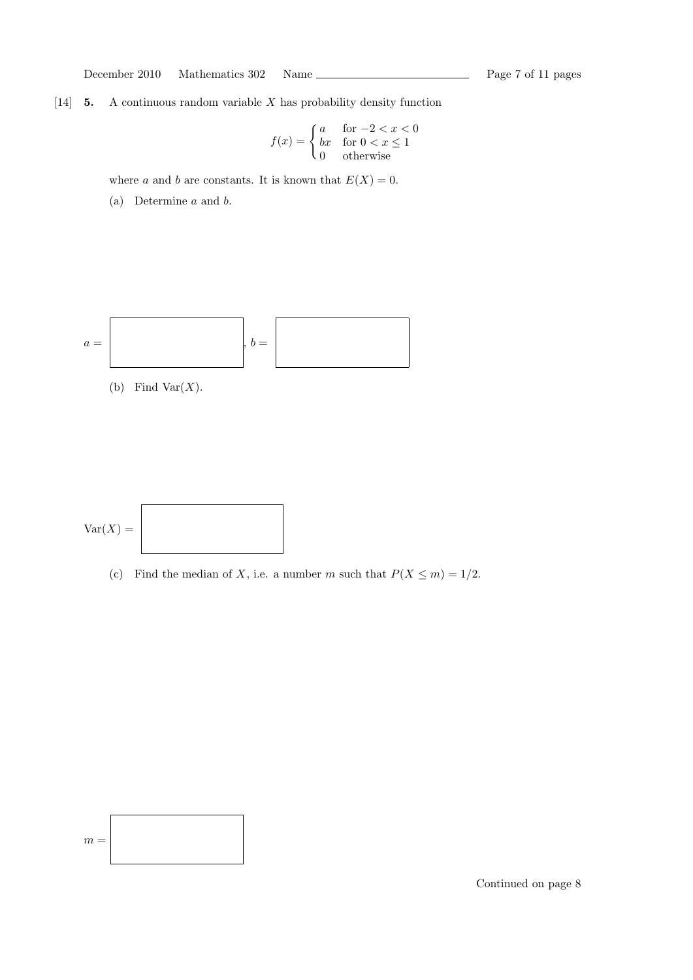December 2010 Mathematics 302 Name Page 7 of 11 pages

[14]  $\,$  5. A continuous random variable X has probability density function

$$
f(x) = \begin{cases} a & \text{for } -2 < x < 0 \\ bx & \text{for } 0 < x \le 1 \\ 0 & \text{otherwise} \end{cases}
$$

where a and b are constants. It is known that  $E(X) = 0$ .

(a) Determine a and b.



(b) Find Var $(X)$ .



(c) Find the median of X, i.e. a number m such that  $P(X \le m) = 1/2$ .

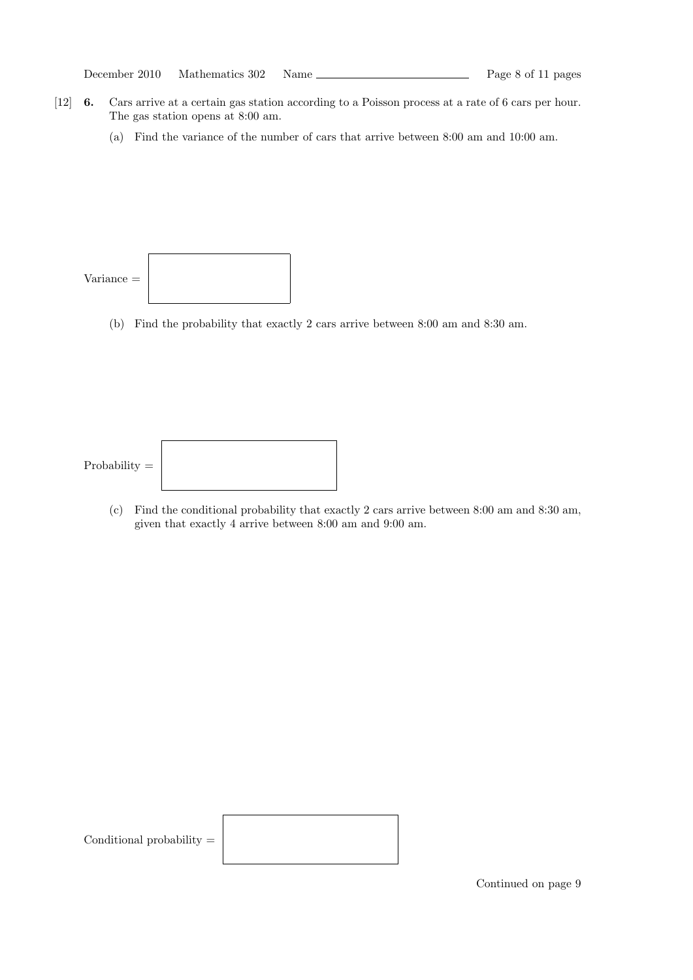|  | December 2010<br>Mathematics 302 | Name |
|--|----------------------------------|------|
|--|----------------------------------|------|

- [12] 6. Cars arrive at a certain gas station according to a Poisson process at a rate of 6 cars per hour. The gas station opens at 8:00 am.
	- (a) Find the variance of the number of cars that arrive between 8:00 am and 10:00 am.



(b) Find the probability that exactly 2 cars arrive between 8:00 am and 8:30 am.

Probability =



(c) Find the conditional probability that exactly 2 cars arrive between 8:00 am and 8:30 am, given that exactly 4 arrive between 8:00 am and 9:00 am.

Conditional probability  $\!=$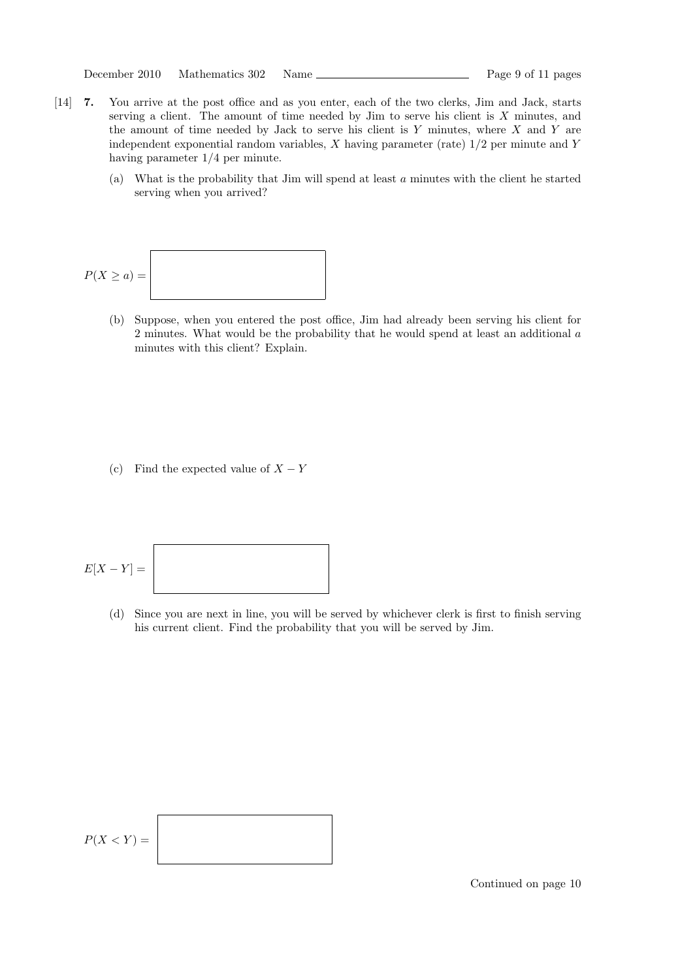```
December 2010 Mathematics 302 Name Page 9 of 11 pages
```
- [14] 7. You arrive at the post office and as you enter, each of the two clerks, Jim and Jack, starts serving a client. The amount of time needed by Jim to serve his client is X minutes, and the amount of time needed by Jack to serve his client is  $Y$  minutes, where  $X$  and  $Y$  are independent exponential random variables,  $X$  having parameter (rate)  $1/2$  per minute and  $Y$ having parameter 1/4 per minute.
	- (a) What is the probability that Jim will spend at least a minutes with the client he started serving when you arrived?

$$
P(X \ge a) =
$$

(b) Suppose, when you entered the post office, Jim had already been serving his client for 2 minutes. What would be the probability that he would spend at least an additional a minutes with this client? Explain.

(c) Find the expected value of  $X - Y$ 

$$
E[X-Y] =
$$

(d) Since you are next in line, you will be served by whichever clerk is first to finish serving his current client. Find the probability that you will be served by Jim.

$$
P(X < Y) =
$$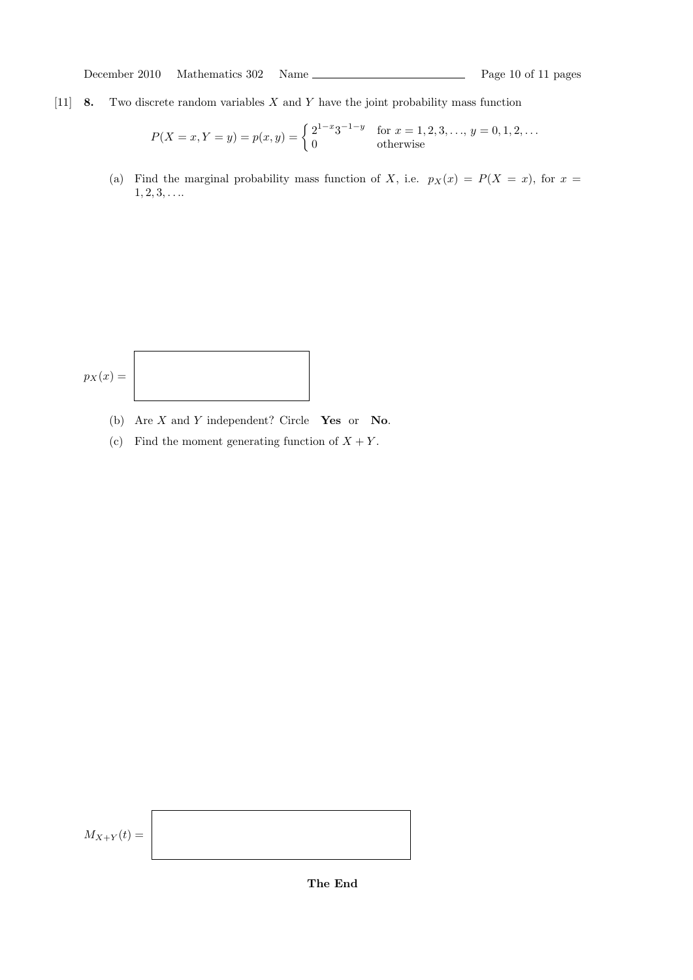December 2010 Mathematics 302 Name Page 10 of 11 pages

[11] **8.** Two discrete random variables  $X$  and  $Y$  have the joint probability mass function

$$
P(X = x, Y = y) = p(x, y) = \begin{cases} 2^{1-x} 3^{-1-y} & \text{for } x = 1, 2, 3, \dots, y = 0, 1, 2, \dots \\ 0 & \text{otherwise} \end{cases}
$$

(a) Find the marginal probability mass function of X, i.e.  $p_X(x) = P(X = x)$ , for  $x =$  $1, 2, 3, \ldots$ 

$$
p_X(x) =
$$

- (b) Are  $X$  and  $Y$  independent? Circle Yes or No.
- (c) Find the moment generating function of  $X + Y$ .